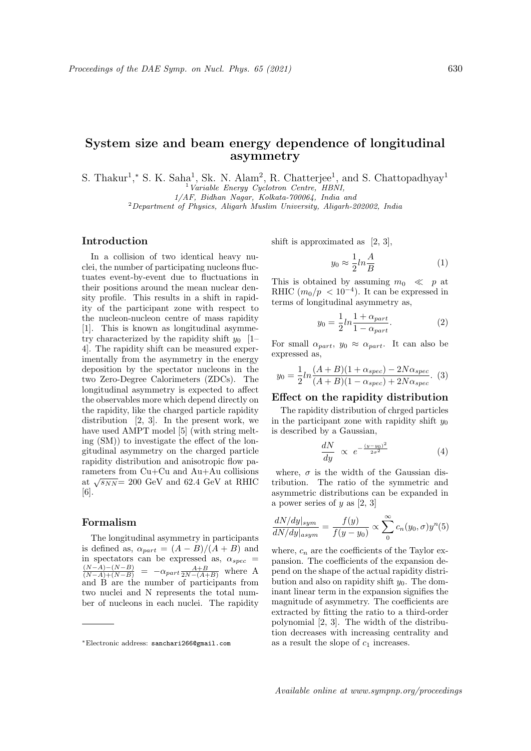# System size and beam energy dependence of longitudinal asymmetry

S. Thakur<sup>1</sup>,\* S. K. Saha<sup>1</sup>, Sk. N. Alam<sup>2</sup>, R. Chatterjee<sup>1</sup>, and S. Chattopadhyay<sup>1</sup>  $1$  Variable Energy Cyclotron Centre, HBNI,

1/AF, Bidhan Nagar, Kolkata-700064, India and

<sup>2</sup>Department of Physics, Aligarh Muslim University, Aligarh-202002, India

## Introduction

In a collision of two identical heavy nuclei, the number of participating nucleons fluctuates event-by-event due to fluctuations in their positions around the mean nuclear density profile. This results in a shift in rapidity of the participant zone with respect to the nucleon-nucleon centre of mass rapidity [1]. This is known as longitudinal asymmetry characterized by the rapidity shift  $y_0$  [1– 4]. The rapidity shift can be measured experimentally from the asymmetry in the energy deposition by the spectator nucleons in the two Zero-Degree Calorimeters (ZDCs). The longitudinal asymmetry is expected to affect the observables more which depend directly on the rapidity, like the charged particle rapidity distribution [2, 3]. In the present work, we have used AMPT model [5] (with string melting (SM)) to investigate the effect of the longitudinal asymmetry on the charged particle rapidity distribution and anisotropic flow parameters from Cu+Cu and Au+Au collisions Framerical month Cu<sub>t</sub> Cu<sub>t</sub> and Au<sub>t</sub> Au considerations at  $\sqrt{s_{NN}}$  = 200 GeV and 62.4 GeV at RHIC [6].

#### Formalism

The longitudinal asymmetry in participants is defined as,  $\alpha_{part} = (A - B)/(A + B)$  and in spectators can be expressed as,  $\alpha_{spec}$  =  $\frac{(N-A)-(N-B)}{(N-A)+(N-B)}$  =  $-\alpha_{part}\frac{A+B}{2N-(A+B)}$  where A and B are the number of participants from two nuclei and N represents the total number of nucleons in each nuclei. The rapidity shift is approximated as [2, 3],

$$
y_0 \approx \frac{1}{2} ln \frac{A}{B} \tag{1}
$$

This is obtained by assuming  $m_0 \ll p$  at RHIC  $(m_0/p < 10^{-4})$ . It can be expressed in terms of longitudinal asymmetry as,

$$
y_0 = \frac{1}{2}ln\frac{1+\alpha_{part}}{1-\alpha_{part}}.\tag{2}
$$

For small  $\alpha_{part}$ ,  $y_0 \approx \alpha_{part}$ . It can also be expressed as,

$$
y_0 = \frac{1}{2} ln \frac{(A+B)(1+\alpha_{spec}) - 2N\alpha_{spec}}{(A+B)(1-\alpha_{spec}) + 2N\alpha_{spec}}.
$$
 (3)

#### Effect on the rapidity distribution

The rapidity distribution of chrged particles in the participant zone with rapidity shift  $y_0$ is described by a Gaussian,

$$
\frac{dN}{dy} \propto e^{-\frac{(y-y_0)^2}{2\sigma^2}} \tag{4}
$$

where,  $\sigma$  is the width of the Gaussian distribution. The ratio of the symmetric and asymmetric distributions can be expanded in a power series of y as  $[2, 3]$ 

$$
\frac{dN/dy|_{sym}}{dN/dy|_{asym}} = \frac{f(y)}{f(y - y_0)} \propto \sum_{0}^{\infty} c_n(y_0, \sigma) y^n(5)
$$

where,  $c_n$  are the coefficients of the Taylor expansion. The coefficients of the expansion depend on the shape of the actual rapidity distribution and also on rapidity shift  $y_0$ . The dominant linear term in the expansion signifies the magnitude of asymmetry. The coefficients are extracted by fitting the ratio to a third-order polynomial [2, 3]. The width of the distribution decreases with increasing centrality and as a result the slope of  $c_1$  increases.

<sup>∗</sup>Electronic address: sanchari266@gmail.com